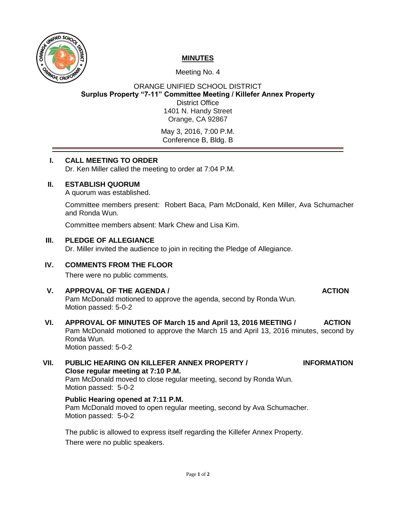

# **MINUTES**

## Meeting No. 4

ORANGE UNIFIED SCHOOL DISTRICT **Surplus Property "7-11" Committee Meeting / Killefer Annex Property** District Office 1401 N. Handy Street Orange, CA 92867

May 3, 2016, 7:00 P.M. Conference B, Bldg. B

## **I. CALL MEETING TO ORDER**

Dr. Ken Miller called the meeting to order at 7:04 P.M.

## **II. ESTABLISH QUORUM**

A quorum was established.

Committee members present: Robert Baca, Pam McDonald, Ken Miller, Ava Schumacher and Ronda Wun.

Committee members absent: Mark Chew and Lisa Kim.

## **III. PLEDGE OF ALLEGIANCE**

Dr. Miller invited the audience to join in reciting the Pledge of Allegiance.

## **IV. COMMENTS FROM THE FLOOR**

There were no public comments.

## **V. APPROVAL OF THE AGENDA / ACTION**

Pam McDonald motioned to approve the agenda, second by Ronda Wun. Motion passed: 5-0-2

### **VI. APPROVAL OF MINUTES OF March 15 and April 13, 2016 MEETING / ACTION** Pam McDonald motioned to approve the March 15 and April 13, 2016 minutes, second by Ronda Wun. Motion passed: 5-0-2

### **VII. PUBLIC HEARING ON KILLEFER ANNEX PROPERTY / INFORMATION Close regular meeting at 7:10 P.M.**  Pam McDonald moved to close regular meeting, second by Ronda Wun. Motion passed: 5-0-2

## **Public Hearing opened at 7:11 P.M.**

Pam McDonald moved to open regular meeting, second by Ava Schumacher. Motion passed: 5-0-2

The public is allowed to express itself regarding the Killefer Annex Property. There were no public speakers.